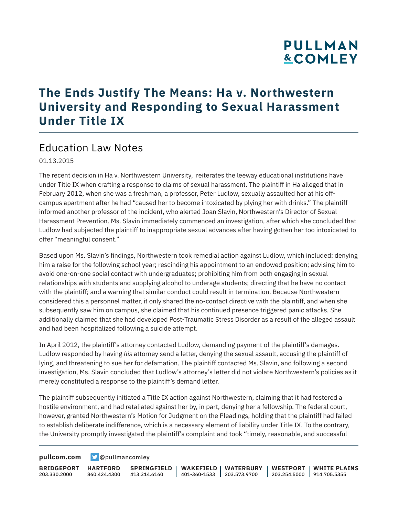## **PULLMAN &COMLEY**

### **The Ends Justify The Means: Ha v. Northwestern University and Responding to Sexual Harassment Under Title IX**

#### Education Law Notes

01.13.2015

The recent decision in Ha v. Northwestern University, reiterates the leeway educational institutions have under Title IX when crafting a response to claims of sexual harassment. The plaintiff in Ha alleged that in February 2012, when she was a freshman, a professor, Peter Ludlow, sexually assaulted her at his offcampus apartment after he had "caused her to become intoxicated by plying her with drinks." The plaintiff informed another professor of the incident, who alerted Joan Slavin, Northwestern's Director of Sexual Harassment Prevention. Ms. Slavin immediately commenced an investigation, after which she concluded that Ludlow had subjected the plaintiff to inappropriate sexual advances after having gotten her too intoxicated to offer "meaningful consent."

Based upon Ms. Slavin's findings, Northwestern took remedial action against Ludlow, which included: denying him a raise for the following school year; rescinding his appointment to an endowed position; advising him to avoid one-on-one social contact with undergraduates; prohibiting him from both engaging in sexual relationships with students and supplying alcohol to underage students; directing that he have no contact with the plaintiff; and a warning that similar conduct could result in termination. Because Northwestern considered this a personnel matter, it only shared the no-contact directive with the plaintiff, and when she subsequently saw him on campus, she claimed that his continued presence triggered panic attacks. She additionally claimed that she had developed Post-Traumatic Stress Disorder as a result of the alleged assault and had been hospitalized following a suicide attempt.

In April 2012, the plaintiff's attorney contacted Ludlow, demanding payment of the plaintiff's damages. Ludlow responded by having *his* attorney send a letter, denying the sexual assault, accusing the plaintiff of lying, and threatening to sue her for defamation. The plaintiff contacted Ms. Slavin, and following a second investigation, Ms. Slavin concluded that Ludlow's attorney's letter did not violate Northwestern's policies as it merely constituted a response to the plaintiff's demand letter.

The plaintiff subsequently initiated a Title IX action against Northwestern, claiming that it had fostered a hostile environment, and had retaliated against her by, in part, denying her a fellowship. The federal court, however, granted Northwestern's Motion for Judgment on the Pleadings, holding that the plaintiff had failed to establish deliberate indifference, which is a necessary element of liability under Title IX. To the contrary, the University promptly investigated the plaintiff's complaint and took "timely, reasonable, and successful

**[pullcom.com](https://www.pullcom.com) g** [@pullmancomley](https://twitter.com/PullmanComley)

**BRIDGEPORT** 203.330.2000

**HARTFORD**

860.424.4300 413.314.6160 **SPRINGFIELD** **WAKEFIELD WATERBURY** 401-360-1533 203.573.9700

**WESTPORT WHITE PLAINS** 203.254.5000 914.705.5355